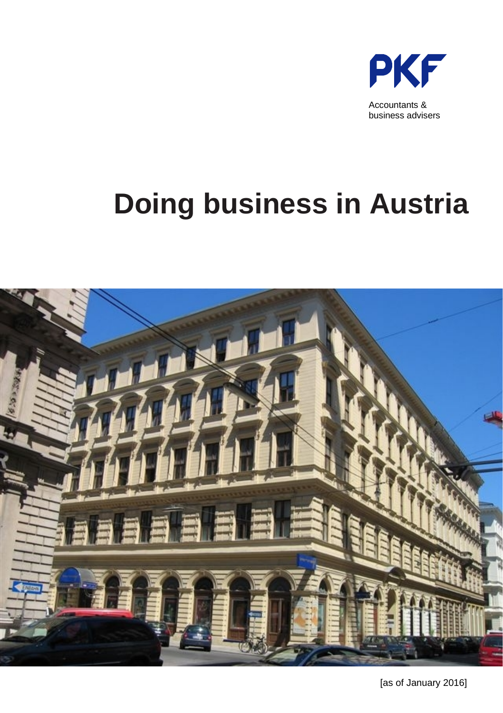

## **Doing business in Austria**

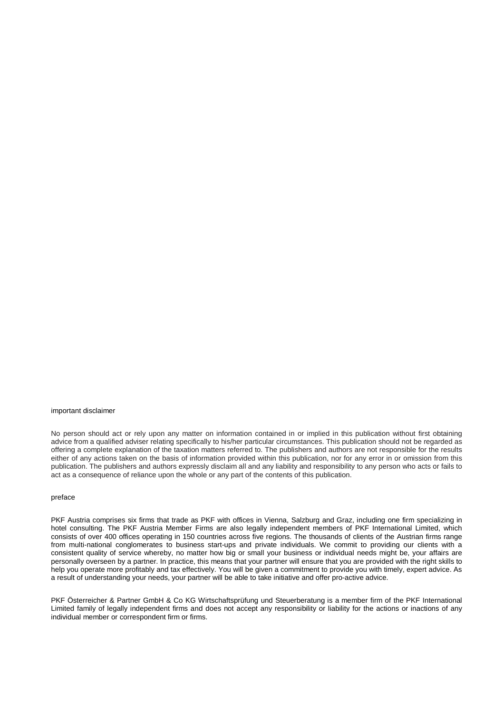#### important disclaimer

No person should act or rely upon any matter on information contained in or implied in this publication without first obtaining advice from a qualified adviser relating specifically to his/her particular circumstances. This publication should not be regarded as offering a complete explanation of the taxation matters referred to. The publishers and authors are not responsible for the results either of any actions taken on the basis of information provided within this publication, nor for any error in or omission from this publication. The publishers and authors expressly disclaim all and any liability and responsibility to any person who acts or fails to act as a consequence of reliance upon the whole or any part of the contents of this publication.

#### preface

PKF Austria comprises six firms that trade as PKF with offices in Vienna, Salzburg and Graz, including one firm specializing in hotel consulting. The PKF Austria Member Firms are also legally independent members of PKF International Limited, which consists of over 400 offices operating in 150 countries across five regions. The thousands of clients of the Austrian firms range from multi-national conglomerates to business start-ups and private individuals. We commit to providing our clients with a consistent quality of service whereby, no matter how big or small your business or individual needs might be, your affairs are personally overseen by a partner. In practice, this means that your partner will ensure that you are provided with the right skills to help you operate more profitably and tax effectively. You will be given a commitment to provide you with timely, expert advice. As a result of understanding your needs, your partner will be able to take initiative and offer pro-active advice.

PKF Österreicher & Partner GmbH & Co KG Wirtschaftsprüfung und Steuerberatung is a member firm of the PKF International Limited family of legally independent firms and does not accept any responsibility or liability for the actions or inactions of any individual member or correspondent firm or firms.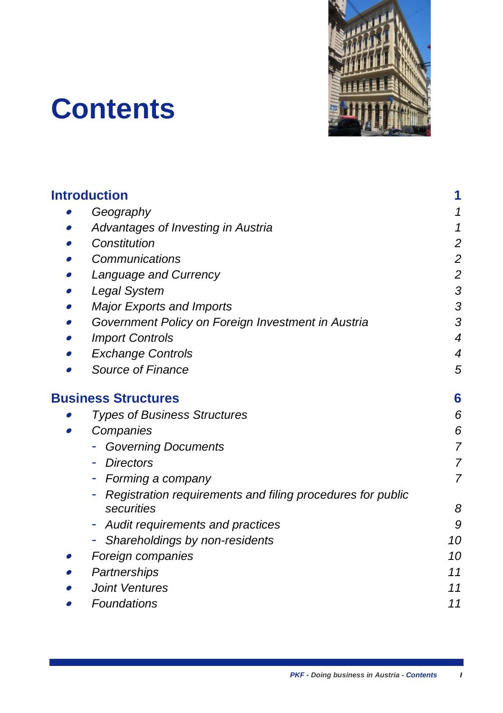

## **Contents**

| <b>Introduction</b>                                        | 1               |
|------------------------------------------------------------|-----------------|
| Geography                                                  | 1               |
| Advantages of Investing in Austria                         | 1               |
| Constitution                                               | $\overline{c}$  |
| Communications                                             | $\overline{c}$  |
| Language and Currency                                      | $\overline{c}$  |
| Legal System                                               | ŝ               |
| <b>Major Exports and Imports</b>                           | ŝ               |
| Government Policy on Foreign Investment in Austria         | ŝ               |
| <b>Import Controls</b>                                     | 4               |
| <b>Exchange Controls</b>                                   | 4               |
| Source of Finance                                          | 5               |
| <b>Business Structures</b>                                 | $6\phantom{a}6$ |
| <b>Types of Business Structures</b>                        | 6               |
| Companies                                                  | 6               |
| <b>Governing Documents</b>                                 | 7               |
| <b>Directors</b>                                           | 7               |
| Forming a company                                          | 7               |
| Registration requirements and filing procedures for public |                 |
| securities                                                 | 8               |
| Audit requirements and practices                           | S               |
| Shareholdings by non-residents<br>٠                        | 10              |
| Foreign companies                                          | 10              |
| Partnerships                                               | 11              |
| Joint Ventures                                             | 11              |
| Foundations                                                | 11              |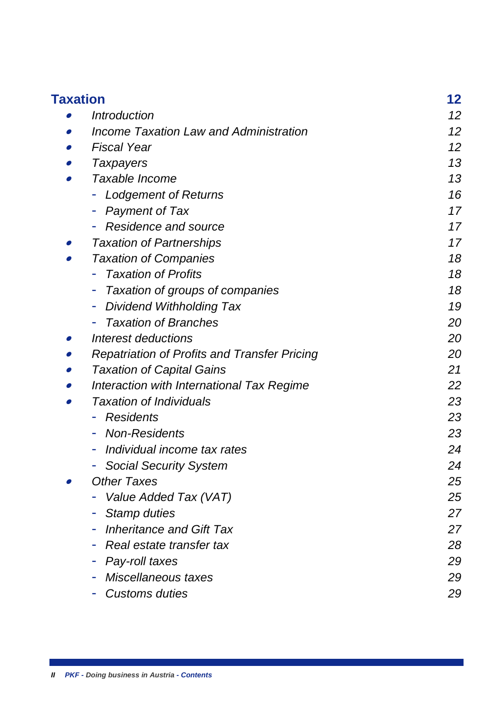| <b>Taxation</b> |                                               | 12 |
|-----------------|-----------------------------------------------|----|
|                 | <i><b>Introduction</b></i>                    | 12 |
|                 | <b>Income Taxation Law and Administration</b> | 12 |
|                 | <b>Fiscal Year</b>                            | 12 |
|                 | <b>Taxpayers</b>                              | 13 |
|                 | Taxable Income                                | 13 |
|                 | <b>Lodgement of Returns</b>                   | 16 |
|                 | Payment of Tax                                | 17 |
|                 | Residence and source                          | 17 |
|                 | <b>Taxation of Partnerships</b>               | 17 |
|                 | <b>Taxation of Companies</b>                  | 18 |
|                 | <b>Taxation of Profits</b>                    | 18 |
|                 | Taxation of groups of companies               | 18 |
|                 | <b>Dividend Withholding Tax</b><br>۰          | 19 |
|                 | <b>Taxation of Branches</b>                   | 20 |
|                 | Interest deductions                           | 20 |
|                 | Repatriation of Profits and Transfer Pricing  | 20 |
|                 | <b>Taxation of Capital Gains</b>              | 21 |
|                 | Interaction with International Tax Regime     | 22 |
|                 | <b>Taxation of Individuals</b>                | 23 |
|                 | Residents<br>۰                                | 23 |
|                 | <b>Non-Residents</b><br>۰                     | 23 |
|                 | Individual income tax rates<br>۰              | 24 |
|                 | <b>Social Security System</b>                 | 24 |
|                 | Other Taxes                                   | 25 |
|                 | Value Added Tax (VAT)                         | 25 |
|                 | Stamp duties<br>۰                             | 27 |
|                 | <b>Inheritance and Gift Tax</b><br>۰          | 27 |
|                 | Real estate transfer tax<br>۰                 | 28 |
|                 | Pay-roll taxes<br>۳                           | 29 |
|                 | Miscellaneous taxes                           | 29 |
|                 | Customs duties                                | 29 |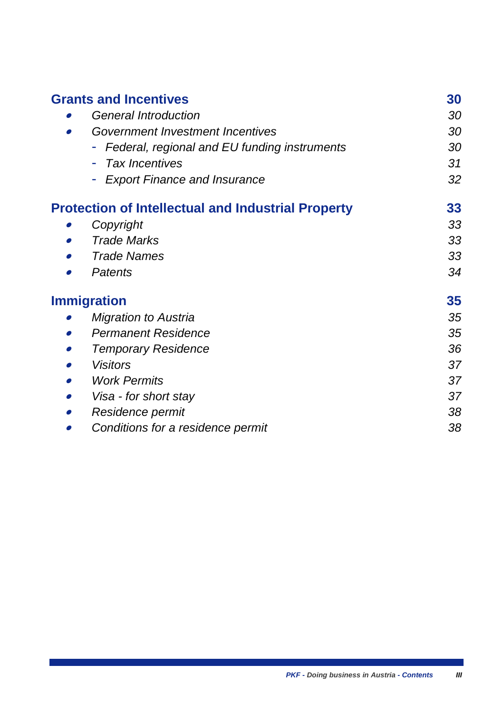| <b>Grants and Incentives</b>                              | 30 |
|-----------------------------------------------------------|----|
| <b>General Introduction</b>                               | 30 |
| Government Investment Incentives                          | 30 |
| Federal, regional and EU funding instruments              | 30 |
| <b>Tax Incentives</b>                                     | 31 |
| <b>Export Finance and Insurance</b>                       | 32 |
| <b>Protection of Intellectual and Industrial Property</b> | 33 |
| Copyright                                                 | 33 |
| <b>Trade Marks</b>                                        | 33 |
| Trade Names                                               | 33 |
| Patents                                                   | 34 |
| <b>Immigration</b>                                        | 35 |
| <b>Migration to Austria</b>                               | 35 |
| Permanent Residence                                       | 35 |
| <b>Temporary Residence</b>                                | 36 |
| <b>Visitors</b>                                           | 37 |
| <b>Work Permits</b><br>●                                  | 37 |
| Visa - for short stay                                     | 37 |
| Residence permit                                          | 38 |
| Conditions for a residence permit                         | 38 |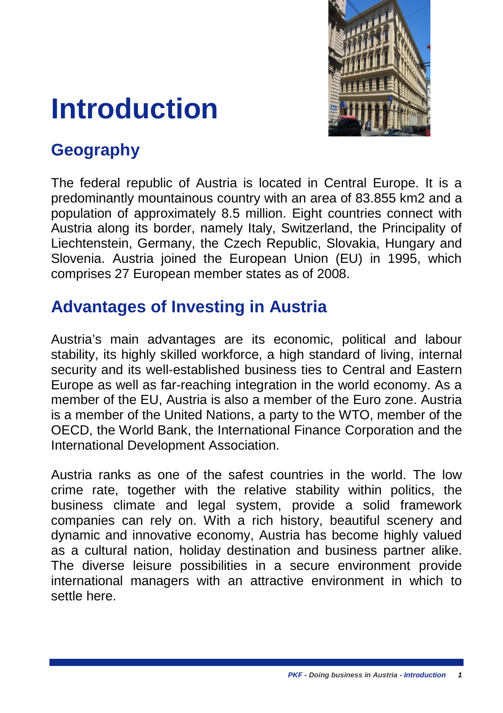

## <span id="page-6-0"></span>**Introduction**

## <span id="page-6-1"></span>**Geography**

The federal republic of Austria is located in Central Europe. It is a predominantly mountainous country with an area of 83.855 km2 and a population of approximately 8.5 million. Eight countries connect with Austria along its border, namely Italy, Switzerland, the Principality of Liechtenstein, Germany, the Czech Republic, Slovakia, Hungary and Slovenia. Austria joined the European Union (EU) in 1995, which comprises 27 European member states as of 2008.

## <span id="page-6-2"></span>**Advantages of Investing in Austria**

Austria's main advantages are its economic, political and labour stability, its highly skilled workforce, a high standard of living, internal security and its well-established business ties to Central and Eastern Europe as well as far-reaching integration in the world economy. As a member of the EU, Austria is also a member of the Euro zone. Austria is a member of the United Nations, a party to the WTO, member of the OECD, the World Bank, the International Finance Corporation and the International Development Association.

Austria ranks as one of the safest countries in the world. The low crime rate, together with the relative stability within politics, the business climate and legal system, provide a solid framework companies can rely on. With a rich history, beautiful scenery and dynamic and innovative economy, Austria has become highly valued as a cultural nation, holiday destination and business partner alike. The diverse leisure possibilities in a secure environment provide international managers with an attractive environment in which to settle here.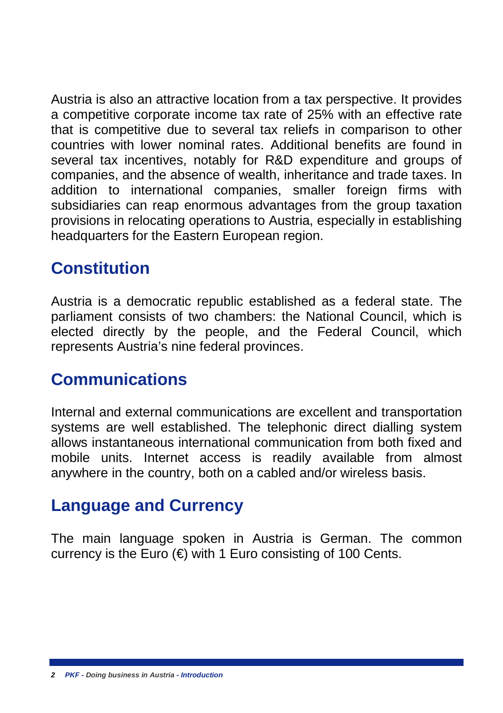Austria is also an attractive location from a tax perspective. It provides a competitive corporate income tax rate of 25% with an effective rate that is competitive due to several tax reliefs in comparison to other countries with lower nominal rates. Additional benefits are found in several tax incentives, notably for R&D expenditure and groups of companies, and the absence of wealth, inheritance and trade taxes. In addition to international companies, smaller foreign firms with subsidiaries can reap enormous advantages from the group taxation provisions in relocating operations to Austria, especially in establishing headquarters for the Eastern European region.

## <span id="page-7-0"></span>**Constitution**

Austria is a democratic republic established as a federal state. The parliament consists of two chambers: the National Council, which is elected directly by the people, and the Federal Council, which represents Austria's nine federal provinces.

## <span id="page-7-1"></span>**Communications**

Internal and external communications are excellent and transportation systems are well established. The telephonic direct dialling system allows instantaneous international communication from both fixed and mobile units. Internet access is readily available from almost anywhere in the country, both on a cabled and/or wireless basis.

## <span id="page-7-2"></span>**Language and Currency**

The main language spoken in Austria is German. The common currency is the Euro  $(\epsilon)$  with 1 Euro consisting of 100 Cents.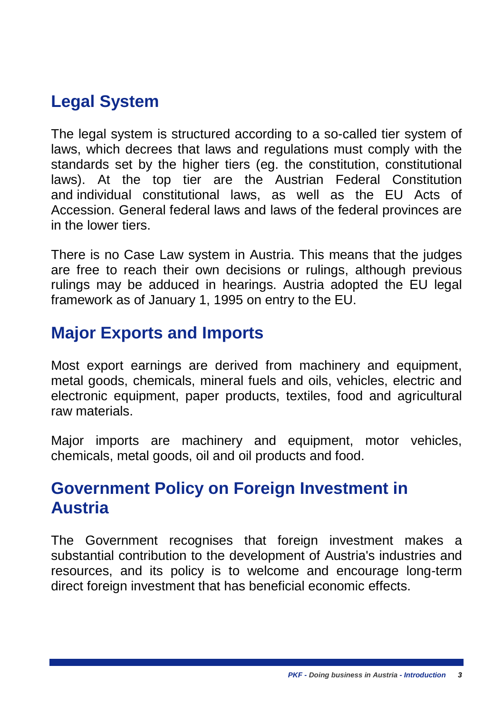## <span id="page-8-0"></span>**Legal System**

The legal system is structured according to a so-called tier system of laws, which decrees that laws and regulations must comply with the standards set by the higher tiers (eg. the constitution, constitutional laws). At the top tier are the Austrian Federal Constitution and individual constitutional laws, as well as the EU Acts of Accession. General federal laws and laws of the federal provinces are in the lower tiers.

There is no Case Law system in Austria. This means that the judges are free to reach their own decisions or rulings, although previous rulings may be adduced in hearings. Austria adopted the EU legal framework as of January 1, 1995 on entry to the EU.

## <span id="page-8-1"></span>**Major Exports and Imports**

Most export earnings are derived from machinery and equipment, metal goods, chemicals, mineral fuels and oils, vehicles, electric and electronic equipment, paper products, textiles, food and agricultural raw materials.

Major imports are machinery and equipment, motor vehicles, chemicals, metal goods, oil and oil products and food.

## <span id="page-8-2"></span>**Government Policy on Foreign Investment in Austria**

The Government recognises that foreign investment makes a substantial contribution to the development of Austria's industries and resources, and its policy is to welcome and encourage long-term direct foreign investment that has beneficial economic effects.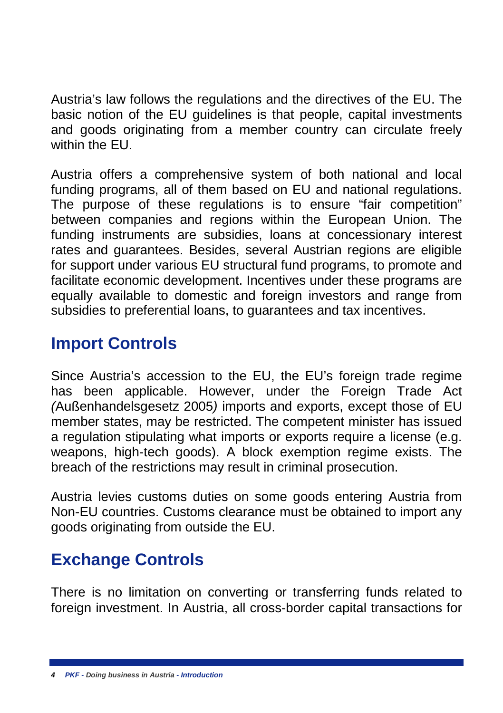Austria's law follows the regulations and the directives of the EU. The basic notion of the EU guidelines is that people, capital investments and goods originating from a member country can circulate freely within the FU.

Austria offers a comprehensive system of both national and local funding programs, all of them based on EU and national regulations. The purpose of these regulations is to ensure "fair competition" between companies and regions within the European Union. The funding instruments are subsidies, loans at concessionary interest rates and guarantees. Besides, several Austrian regions are eligible for support under various EU structural fund programs, to promote and facilitate economic development. Incentives under these programs are equally available to domestic and foreign investors and range from subsidies to preferential loans, to guarantees and tax incentives.

## <span id="page-9-0"></span>**Import Controls**

Since Austria's accession to the EU, the EU's foreign trade regime has been applicable. However, under the Foreign Trade Act *(*Außenhandelsgesetz 2005*)* imports and exports, except those of EU member states, may be restricted. The competent minister has issued a regulation stipulating what imports or exports require a license (e.g. weapons, high-tech goods). A block exemption regime exists. The breach of the restrictions may result in criminal prosecution.

Austria levies customs duties on some goods entering Austria from Non-EU countries. Customs clearance must be obtained to import any goods originating from outside the EU.

## <span id="page-9-1"></span>**Exchange Controls**

There is no limitation on converting or transferring funds related to foreign investment. In Austria, all cross-border capital transactions for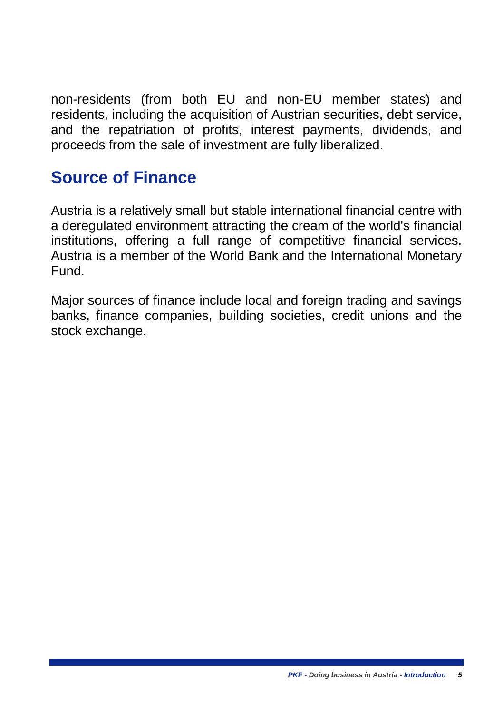non-residents (from both EU and non-EU member states) and residents, including the acquisition of Austrian securities, debt service, and the repatriation of profits, interest payments, dividends, and proceeds from the sale of investment are fully liberalized.

### <span id="page-10-0"></span>**Source of Finance**

Austria is a relatively small but stable international financial centre with a deregulated environment attracting the cream of the world's financial institutions, offering a full range of competitive financial services. Austria is a member of the World Bank and the International Monetary Fund.

Major sources of finance include local and foreign trading and savings banks, finance companies, building societies, credit unions and the stock exchange.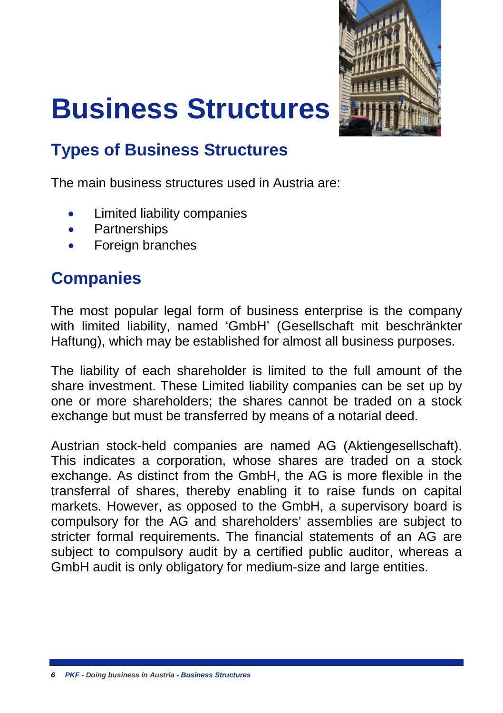

# <span id="page-11-0"></span>**Business Structures**

## <span id="page-11-1"></span>**Types of Business Structures**

The main business structures used in Austria are:

- Limited liability companies
- Partnerships
- Foreign branches

## <span id="page-11-2"></span>**Companies**

The most popular legal form of business enterprise is the company with limited liability, named 'GmbH' (Gesellschaft mit beschränkter Haftung), which may be established for almost all business purposes.

The liability of each shareholder is limited to the full amount of the share investment. These Limited liability companies can be set up by one or more shareholders; the shares cannot be traded on a stock exchange but must be transferred by means of a notarial deed.

Austrian stock-held companies are named AG (Aktiengesellschaft). This indicates a corporation, whose shares are traded on a stock exchange. As distinct from the GmbH, the AG is more flexible in the transferral of shares, thereby enabling it to raise funds on capital markets. However, as opposed to the GmbH, a supervisory board is compulsory for the AG and shareholders' assemblies are subject to stricter formal requirements. The financial statements of an AG are subject to compulsory audit by a certified public auditor, whereas a GmbH audit is only obligatory for medium-size and large entities.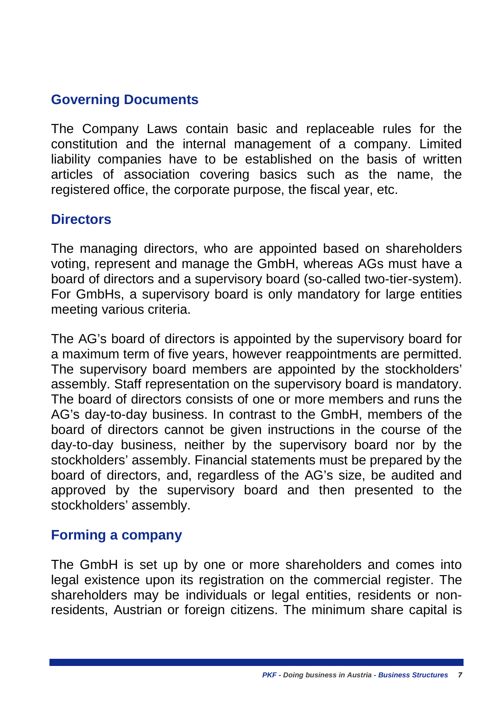#### <span id="page-12-0"></span>**Governing Documents**

The Company Laws contain basic and replaceable rules for the constitution and the internal management of a company. Limited liability companies have to be established on the basis of written articles of association covering basics such as the name, the registered office, the corporate purpose, the fiscal year, etc.

#### <span id="page-12-1"></span>**Directors**

The managing directors, who are appointed based on shareholders voting, represent and manage the GmbH, whereas AGs must have a board of directors and a supervisory board (so-called two-tier-system). For GmbHs, a supervisory board is only mandatory for large entities meeting various criteria.

The AG's board of directors is appointed by the supervisory board for a maximum term of five years, however reappointments are permitted. The supervisory board members are appointed by the stockholders' assembly. Staff representation on the supervisory board is mandatory. The board of directors consists of one or more members and runs the AG's day-to-day business. In contrast to the GmbH, members of the board of directors cannot be given instructions in the course of the day-to-day business, neither by the supervisory board nor by the stockholders' assembly. Financial statements must be prepared by the board of directors, and, regardless of the AG's size, be audited and approved by the supervisory board and then presented to the stockholders' assembly.

#### <span id="page-12-2"></span>**Forming a company**

The GmbH is set up by one or more shareholders and comes into legal existence upon its registration on the commercial register. The shareholders may be individuals or legal entities, residents or nonresidents. Austrian or foreign citizens. The minimum share capital is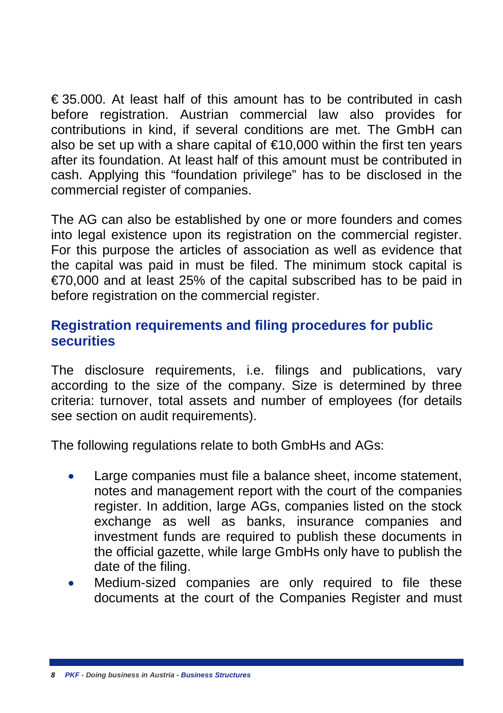$\epsilon$  35.000. At least half of this amount has to be contributed in cash before registration. Austrian commercial law also provides for contributions in kind, if several conditions are met. The GmbH can also be set up with a share capital of  $\epsilon$ 10,000 within the first ten years after its foundation. At least half of this amount must be contributed in cash. Applying this "foundation privilege" has to be disclosed in the commercial register of companies.

The AG can also be established by one or more founders and comes into legal existence upon its registration on the commercial register. For this purpose the articles of association as well as evidence that the capital was paid in must be filed. The minimum stock capital is €70,000 and at least 25% of the capital subscribed has to be paid in before registration on the commercial register.

#### <span id="page-13-0"></span>**Registration requirements and filing procedures for public securities**

The disclosure requirements, i.e. filings and publications, vary according to the size of the company. Size is determined by three criteria: turnover, total assets and number of employees (for details see section on audit requirements).

The following regulations relate to both GmbHs and AGs:

- Large companies must file a balance sheet, income statement, notes and management report with the court of the companies register. In addition, large AGs, companies listed on the stock exchange as well as banks, insurance companies and investment funds are required to publish these documents in the official gazette, while large GmbHs only have to publish the date of the filing.
- Medium-sized companies are only required to file these documents at the court of the Companies Register and must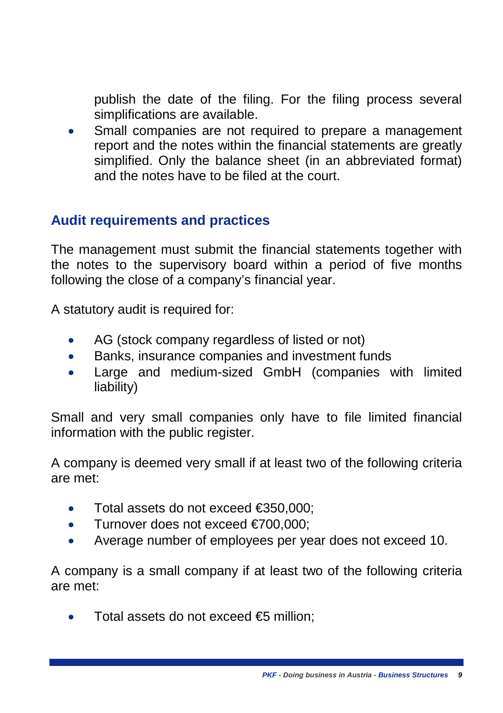publish the date of the filing. For the filing process several simplifications are available.

Small companies are not required to prepare a management report and the notes within the financial statements are greatly simplified. Only the balance sheet (in an abbreviated format) and the notes have to be filed at the court.

#### <span id="page-14-0"></span>**Audit requirements and practices**

The management must submit the financial statements together with the notes to the supervisory board within a period of five months following the close of a company's financial year.

A statutory audit is required for:

- AG (stock company regardless of listed or not)
- Banks, insurance companies and investment funds
- Large and medium-sized GmbH (companies with limited liability)

Small and very small companies only have to file limited financial information with the public register.

A company is deemed very small if at least two of the following criteria are met:

- Total assets do not exceed €350,000;
- Turnover does not exceed €700,000;
- Average number of employees per year does not exceed 10.

A company is a small company if at least two of the following criteria are met:

• Total assets do not exceed €5 million;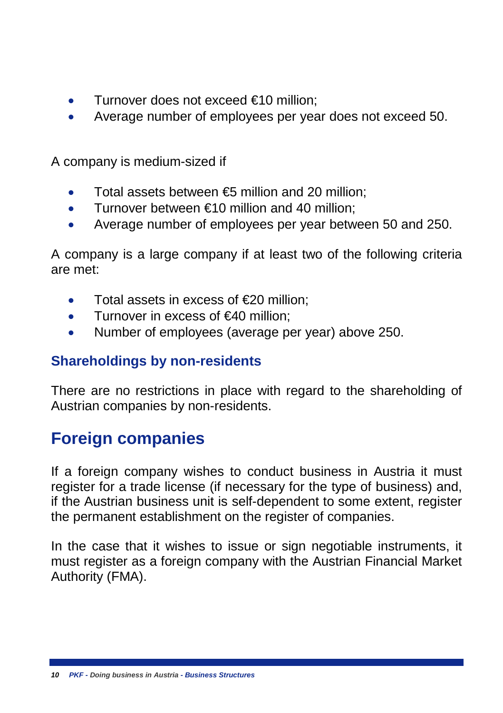- Turnover does not exceed €10 million;
- Average number of employees per year does not exceed 50.

A company is medium-sized if

- Total assets between  $\epsilon$  million and 20 million:
- Turnover between  $\epsilon$ 10 million and 40 million;
- Average number of employees per year between 50 and 250.

A company is a large company if at least two of the following criteria are met:

- Total assets in excess of €20 million;
- Turnover in excess of  $€40$  million:
- Number of employees (average per year) above 250.

#### <span id="page-15-0"></span>**Shareholdings by non-residents**

There are no restrictions in place with regard to the shareholding of Austrian companies by non-residents.

## <span id="page-15-1"></span>**Foreign companies**

If a foreign company wishes to conduct business in Austria it must register for a trade license (if necessary for the type of business) and, if the Austrian business unit is self-dependent to some extent, register the permanent establishment on the register of companies.

In the case that it wishes to issue or sign negotiable instruments, it must register as a foreign company with the Austrian Financial Market Authority (FMA).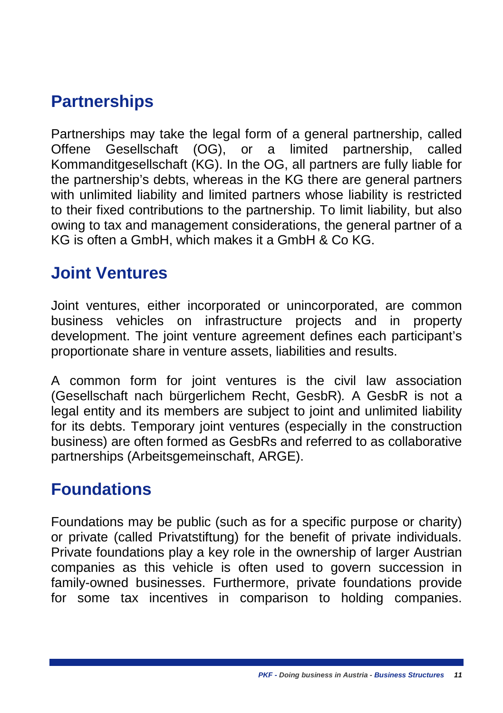## <span id="page-16-0"></span>**Partnerships**

Partnerships may take the legal form of a general partnership, called Offene Gesellschaft (OG), or a limited partnership, called Kommanditgesellschaft (KG). In the OG, all partners are fully liable for the partnership's debts, whereas in the KG there are general partners with unlimited liability and limited partners whose liability is restricted to their fixed contributions to the partnership. To limit liability, but also owing to tax and management considerations, the general partner of a KG is often a GmbH, which makes it a GmbH & Co KG.

## <span id="page-16-1"></span>**Joint Ventures**

Joint ventures, either incorporated or unincorporated, are common business vehicles on infrastructure projects and in property development. The joint venture agreement defines each participant's proportionate share in venture assets, liabilities and results.

A common form for joint ventures is the civil law association (Gesellschaft nach bürgerlichem Recht, GesbR)*.* A GesbR is not a legal entity and its members are subject to joint and unlimited liability for its debts. Temporary joint ventures (especially in the construction business) are often formed as GesbRs and referred to as collaborative partnerships (Arbeitsgemeinschaft, ARGE).

### <span id="page-16-2"></span>**Foundations**

Foundations may be public (such as for a specific purpose or charity) or private (called Privatstiftung) for the benefit of private individuals. Private foundations play a key role in the ownership of larger Austrian companies as this vehicle is often used to govern succession in family-owned businesses. Furthermore, private foundations provide for some tax incentives in comparison to holding companies.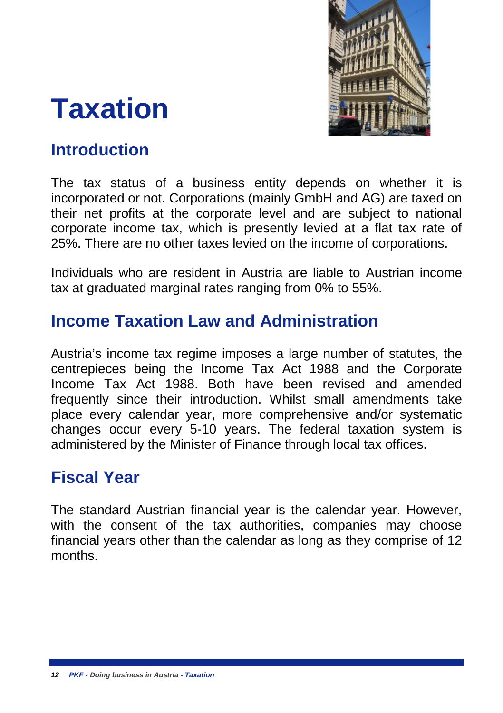

## <span id="page-17-0"></span>**Taxation**

## <span id="page-17-1"></span>**Introduction**

The tax status of a business entity depends on whether it is incorporated or not. Corporations (mainly GmbH and AG) are taxed on their net profits at the corporate level and are subject to national corporate income tax, which is presently levied at a flat tax rate of 25%. There are no other taxes levied on the income of corporations.

Individuals who are resident in Austria are liable to Austrian income tax at graduated marginal rates ranging from 0% to 55%.

## <span id="page-17-2"></span>**Income Taxation Law and Administration**

Austria's income tax regime imposes a large number of statutes, the centrepieces being the Income Tax Act 1988 and the Corporate Income Tax Act 1988. Both have been revised and amended frequently since their introduction. Whilst small amendments take place every calendar year, more comprehensive and/or systematic changes occur every 5-10 years. The federal taxation system is administered by the Minister of Finance through local tax offices.

### <span id="page-17-3"></span>**Fiscal Year**

The standard Austrian financial year is the calendar year. However, with the consent of the tax authorities, companies may choose financial years other than the calendar as long as they comprise of 12 months.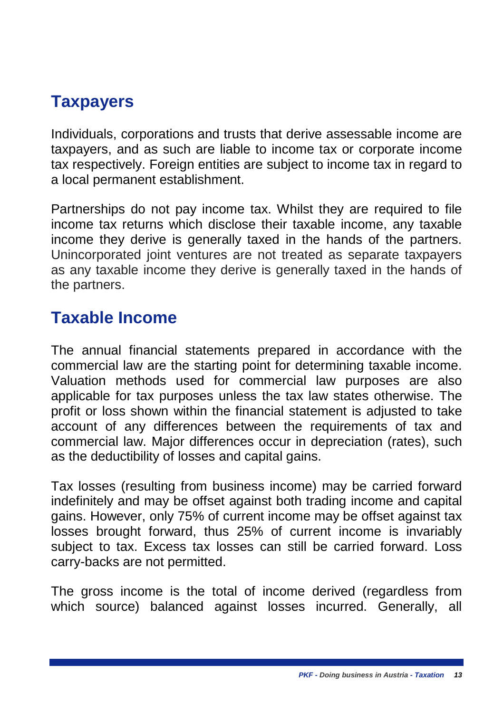## <span id="page-18-0"></span>**Taxpayers**

Individuals, corporations and trusts that derive assessable income are taxpayers, and as such are liable to income tax or corporate income tax respectively. Foreign entities are subject to income tax in regard to a local permanent establishment.

Partnerships do not pay income tax. Whilst they are required to file income tax returns which disclose their taxable income, any taxable income they derive is generally taxed in the hands of the partners. Unincorporated joint ventures are not treated as separate taxpayers as any taxable income they derive is generally taxed in the hands of the partners.

## <span id="page-18-1"></span>**Taxable Income**

The annual financial statements prepared in accordance with the commercial law are the starting point for determining taxable income. Valuation methods used for commercial law purposes are also applicable for tax purposes unless the tax law states otherwise. The profit or loss shown within the financial statement is adjusted to take account of any differences between the requirements of tax and commercial law. Major differences occur in depreciation (rates), such as the deductibility of losses and capital gains.

Tax losses (resulting from business income) may be carried forward indefinitely and may be offset against both trading income and capital gains. However, only 75% of current income may be offset against tax losses brought forward, thus 25% of current income is invariably subject to tax. Excess tax losses can still be carried forward. Loss carry-backs are not permitted.

The gross income is the total of income derived (regardless from which source) balanced against losses incurred. Generally, all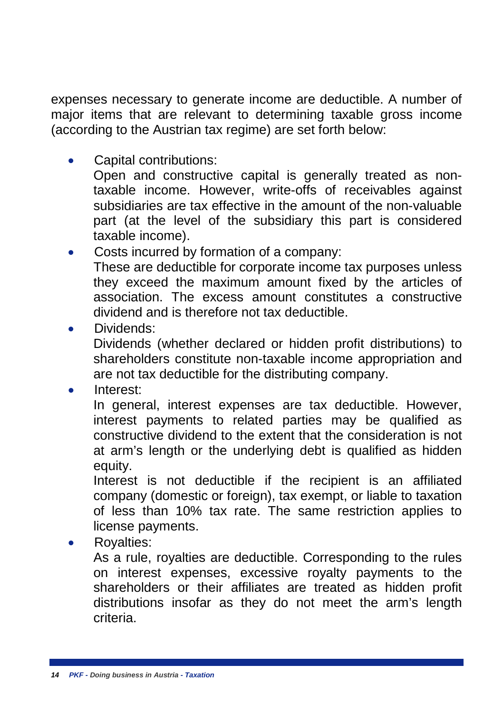expenses necessary to generate income are deductible. A number of major items that are relevant to determining taxable gross income (according to the Austrian tax regime) are set forth below:

• Capital contributions:

Open and constructive capital is generally treated as nontaxable income. However, write-offs of receivables against subsidiaries are tax effective in the amount of the non-valuable part (at the level of the subsidiary this part is considered taxable income).

Costs incurred by formation of a company: These are deductible for corporate income tax purposes unless they exceed the maximum amount fixed by the articles of

association. The excess amount constitutes a constructive dividend and is therefore not tax deductible.

Dividends:

Dividends (whether declared or hidden profit distributions) to shareholders constitute non-taxable income appropriation and are not tax deductible for the distributing company.

• Interest:

In general, interest expenses are tax deductible. However, interest payments to related parties may be qualified as constructive dividend to the extent that the consideration is not at arm's length or the underlying debt is qualified as hidden equity.

Interest is not deductible if the recipient is an affiliated company (domestic or foreign), tax exempt, or liable to taxation of less than 10% tax rate. The same restriction applies to license payments.

• Royalties:

As a rule, royalties are deductible. Corresponding to the rules on interest expenses, excessive royalty payments to the shareholders or their affiliates are treated as hidden profit distributions insofar as they do not meet the arm's length criteria.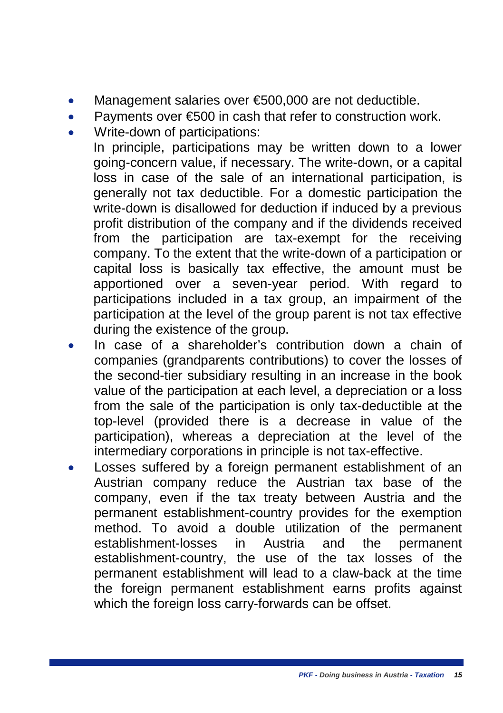- Management salaries over €500,000 are not deductible.
- Payments over €500 in cash that refer to construction work.
- Write-down of participations:

In principle, participations may be written down to a lower going-concern value, if necessary. The write-down, or a capital loss in case of the sale of an international participation, is generally not tax deductible. For a domestic participation the write-down is disallowed for deduction if induced by a previous profit distribution of the company and if the dividends received from the participation are tax-exempt for the receiving company. To the extent that the write-down of a participation or capital loss is basically tax effective, the amount must be apportioned over a seven-year period. With regard to participations included in a tax group, an impairment of the participation at the level of the group parent is not tax effective during the existence of the group.

- In case of a shareholder's contribution down a chain of companies (grandparents contributions) to cover the losses of the second-tier subsidiary resulting in an increase in the book value of the participation at each level, a depreciation or a loss from the sale of the participation is only tax-deductible at the top-level (provided there is a decrease in value of the participation), whereas a depreciation at the level of the intermediary corporations in principle is not tax-effective.
- Losses suffered by a foreign permanent establishment of an Austrian company reduce the Austrian tax base of the company, even if the tax treaty between Austria and the permanent establishment-country provides for the exemption method. To avoid a double utilization of the permanent establishment-losses in Austria and the permanent establishment-country, the use of the tax losses of the permanent establishment will lead to a claw-back at the time the foreign permanent establishment earns profits against which the foreign loss carry-forwards can be offset.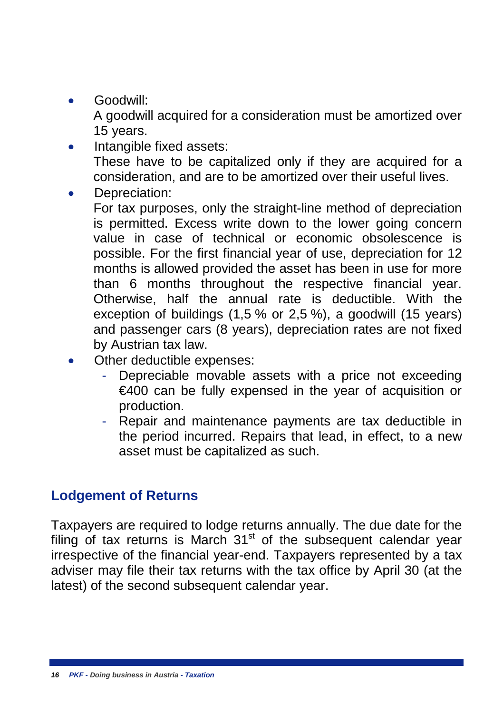• Goodwill:

A goodwill acquired for a consideration must be amortized over 15 years.

- Intangible fixed assets: These have to be capitalized only if they are acquired for a consideration, and are to be amortized over their useful lives.
- Depreciation:

For tax purposes, only the straight-line method of depreciation is permitted. Excess write down to the lower going concern value in case of technical or economic obsolescence is possible. For the first financial year of use, depreciation for 12 months is allowed provided the asset has been in use for more than 6 months throughout the respective financial year. Otherwise, half the annual rate is deductible. With the exception of buildings (1,5 % or 2,5 %), a goodwill (15 years) and passenger cars (8 years), depreciation rates are not fixed by Austrian tax law.

- Other deductible expenses:
	- Depreciable movable assets with a price not exceeding €400 can be fully expensed in the year of acquisition or production.
	- Repair and maintenance payments are tax deductible in the period incurred. Repairs that lead, in effect, to a new asset must be capitalized as such.

#### <span id="page-21-0"></span>**Lodgement of Returns**

Taxpayers are required to lodge returns annually. The due date for the filing of tax returns is March  $31<sup>st</sup>$  of the subsequent calendar year irrespective of the financial year-end. Taxpayers represented by a tax adviser may file their tax returns with the tax office by April 30 (at the latest) of the second subsequent calendar year.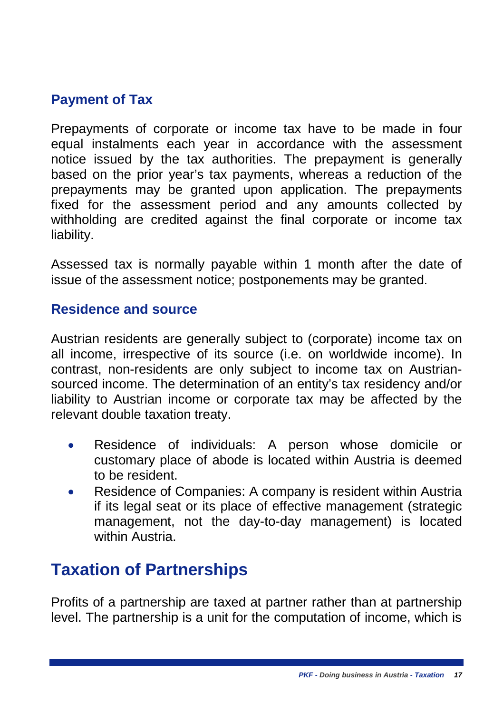#### <span id="page-22-0"></span>**Payment of Tax**

Prepayments of corporate or income tax have to be made in four equal instalments each year in accordance with the assessment notice issued by the tax authorities. The prepayment is generally based on the prior year's tax payments, whereas a reduction of the prepayments may be granted upon application. The prepayments fixed for the assessment period and any amounts collected by withholding are credited against the final corporate or income tax liability.

Assessed tax is normally payable within 1 month after the date of issue of the assessment notice; postponements may be granted.

#### <span id="page-22-1"></span>**Residence and source**

Austrian residents are generally subject to (corporate) income tax on all income, irrespective of its source (i.e. on worldwide income). In contrast, non-residents are only subject to income tax on Austriansourced income. The determination of an entity's tax residency and/or liability to Austrian income or corporate tax may be affected by the relevant double taxation treaty.

- Residence of individuals: A person whose domicile or customary place of abode is located within Austria is deemed to be resident.
- Residence of Companies: A company is resident within Austria if its legal seat or its place of effective management (strategic management, not the day-to-day management) is located within Austria.

### <span id="page-22-2"></span>**Taxation of Partnerships**

Profits of a partnership are taxed at partner rather than at partnership level. The partnership is a unit for the computation of income, which is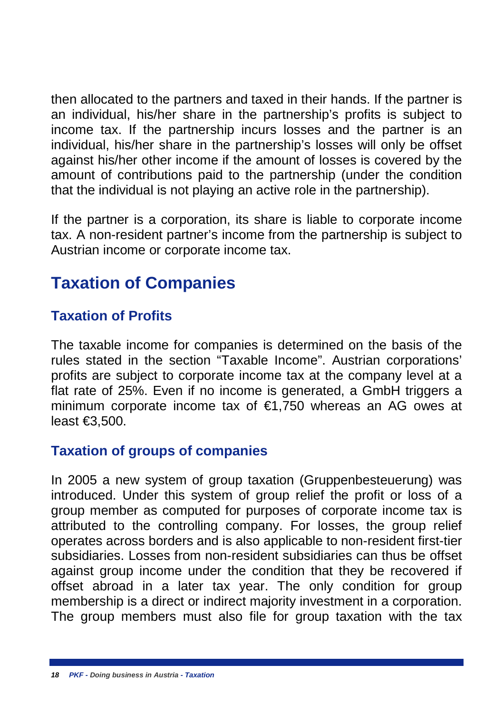then allocated to the partners and taxed in their hands. If the partner is an individual, his/her share in the partnership's profits is subject to income tax. If the partnership incurs losses and the partner is an individual, his/her share in the partnership's losses will only be offset against his/her other income if the amount of losses is covered by the amount of contributions paid to the partnership (under the condition that the individual is not playing an active role in the partnership).

If the partner is a corporation, its share is liable to corporate income tax. A non-resident partner's income from the partnership is subject to Austrian income or corporate income tax.

## <span id="page-23-0"></span>**Taxation of Companies**

#### <span id="page-23-1"></span>**Taxation of Profits**

The taxable income for companies is determined on the basis of the rules stated in the section "Taxable Income". Austrian corporations' profits are subject to corporate income tax at the company level at a flat rate of 25%. Even if no income is generated, a GmbH triggers a minimum corporate income tax of €1,750 whereas an AG owes at least €3,500.

#### <span id="page-23-2"></span>**Taxation of groups of companies**

In 2005 a new system of group taxation (Gruppenbesteuerung) was introduced. Under this system of group relief the profit or loss of a group member as computed for purposes of corporate income tax is attributed to the controlling company. For losses, the group relief operates across borders and is also applicable to non-resident first-tier subsidiaries. Losses from non-resident subsidiaries can thus be offset against group income under the condition that they be recovered if offset abroad in a later tax year. The only condition for group membership is a direct or indirect majority investment in a corporation. The group members must also file for group taxation with the tax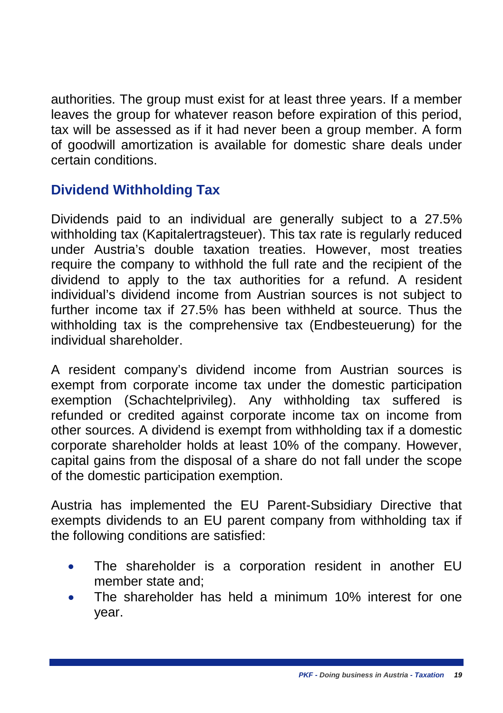authorities. The group must exist for at least three years. If a member leaves the group for whatever reason before expiration of this period, tax will be assessed as if it had never been a group member. A form of goodwill amortization is available for domestic share deals under certain conditions.

#### <span id="page-24-0"></span>**Dividend Withholding Tax**

Dividends paid to an individual are generally subject to a 27.5% withholding tax (Kapitalertragsteuer). This tax rate is regularly reduced under Austria's double taxation treaties. However, most treaties require the company to withhold the full rate and the recipient of the dividend to apply to the tax authorities for a refund. A resident individual's dividend income from Austrian sources is not subject to further income tax if 27.5% has been withheld at source. Thus the withholding tax is the comprehensive tax (Endbesteuerung) for the individual shareholder.

A resident company's dividend income from Austrian sources is exempt from corporate income tax under the domestic participation exemption (Schachtelprivileg). Any withholding tax suffered is refunded or credited against corporate income tax on income from other sources. A dividend is exempt from withholding tax if a domestic corporate shareholder holds at least 10% of the company. However, capital gains from the disposal of a share do not fall under the scope of the domestic participation exemption.

Austria has implemented the EU Parent-Subsidiary Directive that exempts dividends to an EU parent company from withholding tax if the following conditions are satisfied:

- The shareholder is a corporation resident in another EU member state and;
- The shareholder has held a minimum 10% interest for one year.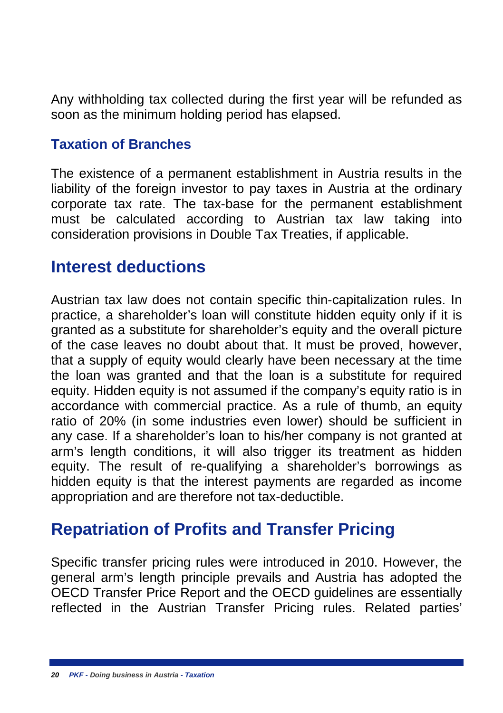Any withholding tax collected during the first year will be refunded as soon as the minimum holding period has elapsed.

#### <span id="page-25-0"></span>**Taxation of Branches**

The existence of a permanent establishment in Austria results in the liability of the foreign investor to pay taxes in Austria at the ordinary corporate tax rate. The tax-base for the permanent establishment must be calculated according to Austrian tax law taking into consideration provisions in Double Tax Treaties, if applicable.

#### <span id="page-25-1"></span>**Interest deductions**

Austrian tax law does not contain specific thin-capitalization rules. In practice, a shareholder's loan will constitute hidden equity only if it is granted as a substitute for shareholder's equity and the overall picture of the case leaves no doubt about that. It must be proved, however, that a supply of equity would clearly have been necessary at the time the loan was granted and that the loan is a substitute for required equity. Hidden equity is not assumed if the company's equity ratio is in accordance with commercial practice. As a rule of thumb, an equity ratio of 20% (in some industries even lower) should be sufficient in any case. If a shareholder's loan to his/her company is not granted at arm's length conditions, it will also trigger its treatment as hidden equity. The result of re-qualifying a shareholder's borrowings as hidden equity is that the interest payments are regarded as income appropriation and are therefore not tax-deductible.

### <span id="page-25-2"></span>**Repatriation of Profits and Transfer Pricing**

Specific transfer pricing rules were introduced in 2010. However, the general arm's length principle prevails and Austria has adopted the OECD Transfer Price Report and the OECD guidelines are essentially reflected in the Austrian Transfer Pricing rules. Related parties'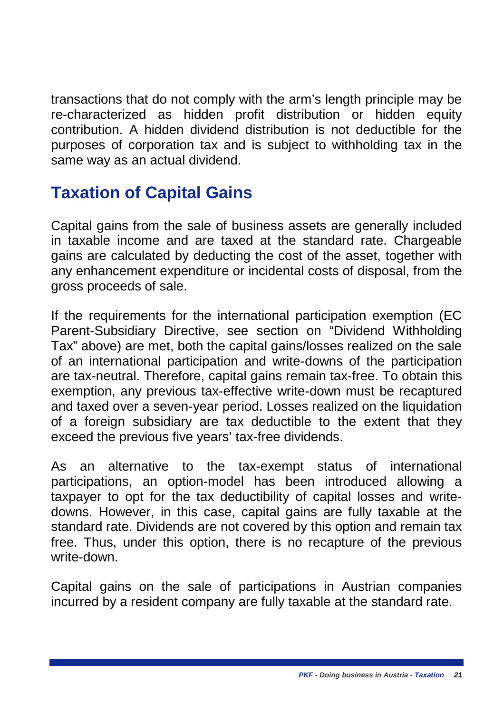transactions that do not comply with the arm's length principle may be re-characterized as hidden profit distribution or hidden equity contribution. A hidden dividend distribution is not deductible for the purposes of corporation tax and is subject to withholding tax in the same way as an actual dividend.

## <span id="page-26-0"></span>**Taxation of Capital Gains**

Capital gains from the sale of business assets are generally included in taxable income and are taxed at the standard rate. Chargeable gains are calculated by deducting the cost of the asset, together with any enhancement expenditure or incidental costs of disposal, from the gross proceeds of sale.

If the requirements for the international participation exemption (EC Parent-Subsidiary Directive, see section on "Dividend Withholding Tax" above) are met, both the capital gains/losses realized on the sale of an international participation and write-downs of the participation are tax-neutral. Therefore, capital gains remain tax-free. To obtain this exemption, any previous tax-effective write-down must be recaptured and taxed over a seven-year period. Losses realized on the liquidation of a foreign subsidiary are tax deductible to the extent that they exceed the previous five years' tax-free dividends.

As an alternative to the tax-exempt status of international participations, an option-model has been introduced allowing a taxpayer to opt for the tax deductibility of capital losses and writedowns. However, in this case, capital gains are fully taxable at the standard rate. Dividends are not covered by this option and remain tax free. Thus, under this option, there is no recapture of the previous write-down.

Capital gains on the sale of participations in Austrian companies incurred by a resident company are fully taxable at the standard rate.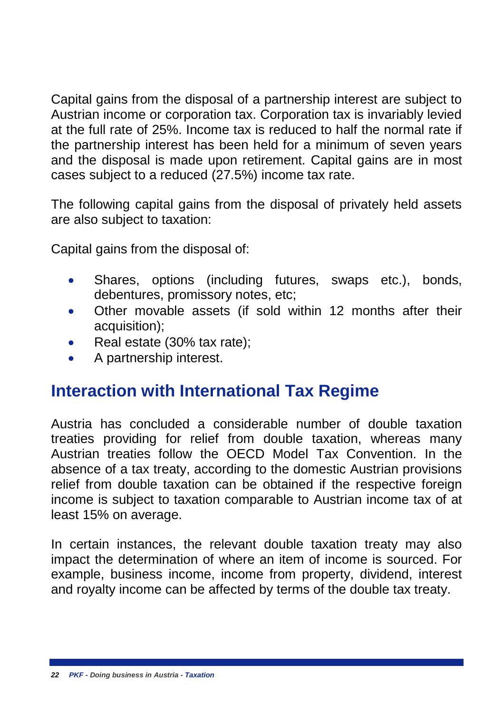Capital gains from the disposal of a partnership interest are subject to Austrian income or corporation tax. Corporation tax is invariably levied at the full rate of 25%. Income tax is reduced to half the normal rate if the partnership interest has been held for a minimum of seven years and the disposal is made upon retirement. Capital gains are in most cases subject to a reduced (27.5%) income tax rate.

The following capital gains from the disposal of privately held assets are also subject to taxation:

Capital gains from the disposal of:

- Shares, options (including futures, swaps etc.), bonds, debentures, promissory notes, etc;
- Other movable assets (if sold within 12 months after their acquisition);
- Real estate (30% tax rate);
- A partnership interest.

### <span id="page-27-0"></span>**Interaction with International Tax Regime**

Austria has concluded a considerable number of double taxation treaties providing for relief from double taxation, whereas many Austrian treaties follow the OECD Model Tax Convention. In the absence of a tax treaty, according to the domestic Austrian provisions relief from double taxation can be obtained if the respective foreign income is subject to taxation comparable to Austrian income tax of at least 15% on average.

In certain instances, the relevant double taxation treaty may also impact the determination of where an item of income is sourced. For example, business income, income from property, dividend, interest and royalty income can be affected by terms of the double tax treaty.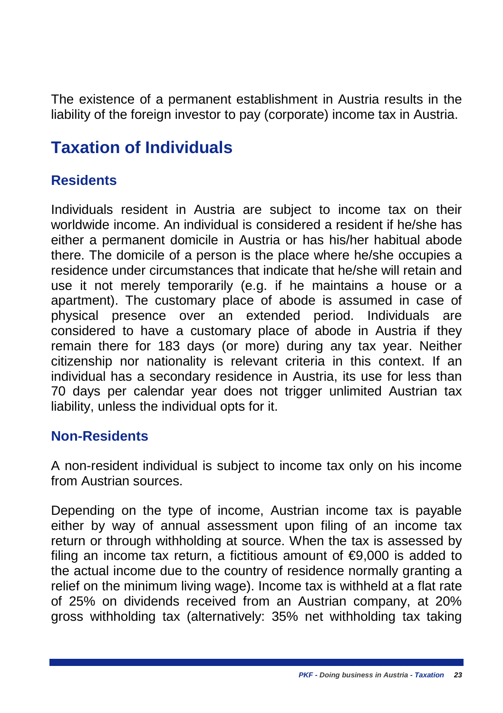The existence of a permanent establishment in Austria results in the liability of the foreign investor to pay (corporate) income tax in Austria.

## <span id="page-28-0"></span>**Taxation of Individuals**

#### <span id="page-28-1"></span>**Residents**

Individuals resident in Austria are subject to income tax on their worldwide income. An individual is considered a resident if he/she has either a permanent domicile in Austria or has his/her habitual abode there. The domicile of a person is the place where he/she occupies a residence under circumstances that indicate that he/she will retain and use it not merely temporarily (e.g. if he maintains a house or a apartment). The customary place of abode is assumed in case of physical presence over an extended period. Individuals are considered to have a customary place of abode in Austria if they remain there for 183 days (or more) during any tax year. Neither citizenship nor nationality is relevant criteria in this context. If an individual has a secondary residence in Austria, its use for less than 70 days per calendar year does not trigger unlimited Austrian tax liability, unless the individual opts for it.

#### <span id="page-28-2"></span>**Non-Residents**

A non-resident individual is subject to income tax only on his income from Austrian sources.

Depending on the type of income, Austrian income tax is payable either by way of annual assessment upon filing of an income tax return or through withholding at source. When the tax is assessed by filing an income tax return, a fictitious amount of  $\epsilon$ 9,000 is added to the actual income due to the country of residence normally granting a relief on the minimum living wage). Income tax is withheld at a flat rate of 25% on dividends received from an Austrian company, at 20% gross withholding tax (alternatively: 35% net withholding tax taking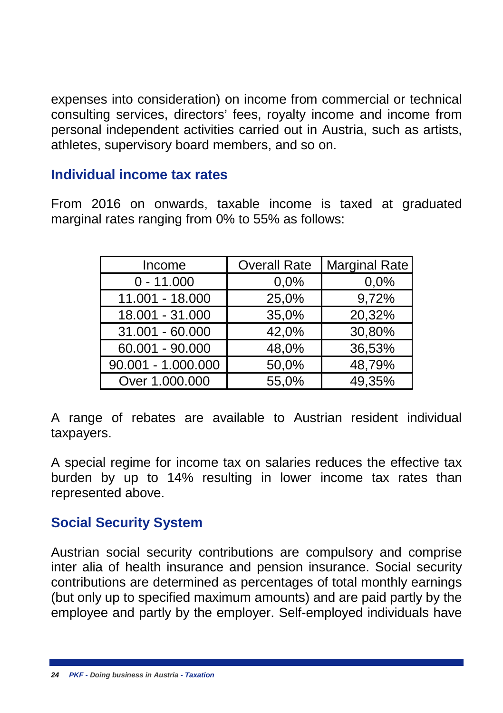expenses into consideration) on income from commercial or technical consulting services, directors' fees, royalty income and income from personal independent activities carried out in Austria, such as artists, athletes, supervisory board members, and so on.

#### <span id="page-29-0"></span>**Individual income tax rates**

From 2016 on onwards, taxable income is taxed at graduated marginal rates ranging from 0% to 55% as follows:

| Income             | <b>Overall Rate</b> | <b>Marginal Rate</b> |  |
|--------------------|---------------------|----------------------|--|
| $0 - 11.000$       | 0,0%                | 0,0%                 |  |
| 11.001 - 18.000    | 25,0%               | 9,72%                |  |
| 18.001 - 31.000    | 35,0%               | 20,32%               |  |
| 31.001 - 60.000    | 42,0%               | 30,80%               |  |
| 60.001 - 90.000    | 48,0%               | 36,53%               |  |
| 90.001 - 1.000.000 | 50,0%               | 48,79%               |  |
| Over 1.000.000     | 55,0%               | 49,35%               |  |

A range of rebates are available to Austrian resident individual taxpayers.

A special regime for income tax on salaries reduces the effective tax burden by up to 14% resulting in lower income tax rates than represented above.

#### <span id="page-29-1"></span>**Social Security System**

Austrian social security contributions are compulsory and comprise inter alia of health insurance and pension insurance. Social security contributions are determined as percentages of total monthly earnings (but only up to specified maximum amounts) and are paid partly by the employee and partly by the employer. Self-employed individuals have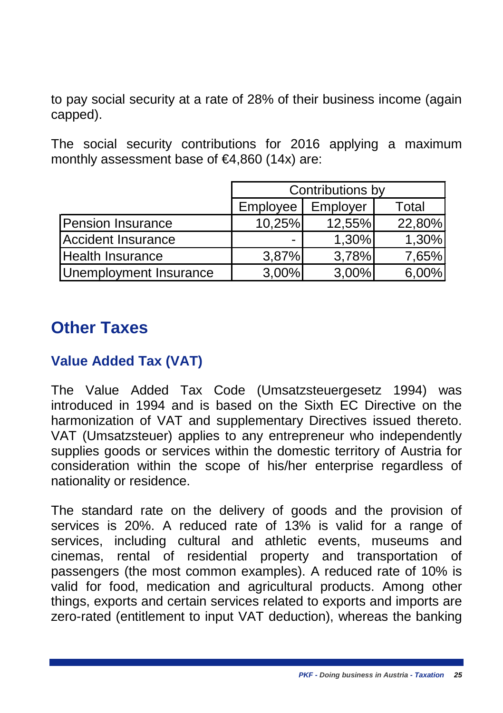to pay social security at a rate of 28% of their business income (again capped).

The social security contributions for 2016 applying a maximum monthly assessment base of €4,860 (14x) are:

|                        | Contributions by |          |        |
|------------------------|------------------|----------|--------|
|                        | Employee         | Employer | Total  |
| Pension Insurance      | 10,25%           | 12,55%   | 22,80% |
| Accident Insurance     |                  | 1,30%    | 1,30%  |
| Health Insurance       | 3,87%            | 3,78%    | 7,65%  |
| Unemployment Insurance | 3,00%            | 3,00%    | 6,00%  |

#### <span id="page-30-0"></span>**Other Taxes**

#### <span id="page-30-1"></span>**Value Added Tax (VAT)**

The Value Added Tax Code (Umsatzsteuergesetz 1994) was introduced in 1994 and is based on the Sixth EC Directive on the harmonization of VAT and supplementary Directives issued thereto. VAT (Umsatzsteuer) applies to any entrepreneur who independently supplies goods or services within the domestic territory of Austria for consideration within the scope of his/her enterprise regardless of nationality or residence.

The standard rate on the delivery of goods and the provision of services is 20%. A reduced rate of 13% is valid for a range of services, including cultural and athletic events, museums and cinemas, rental of residential property and transportation of passengers (the most common examples). A reduced rate of 10% is valid for food, medication and agricultural products. Among other things, exports and certain services related to exports and imports are zero-rated (entitlement to input VAT deduction), whereas the banking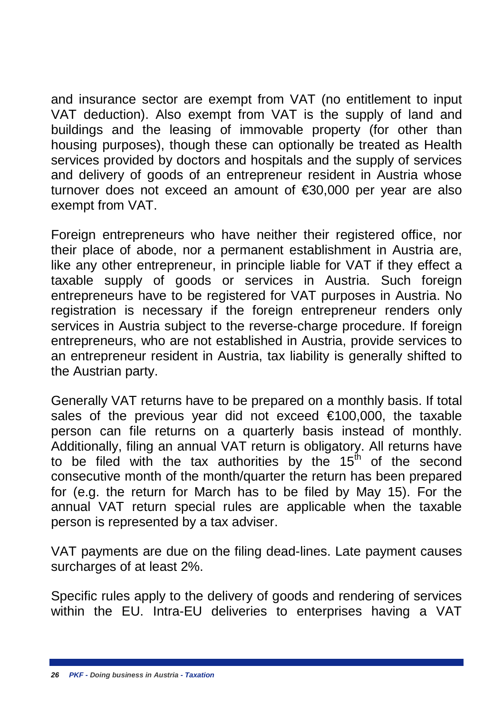and insurance sector are exempt from VAT (no entitlement to input VAT deduction). Also exempt from VAT is the supply of land and buildings and the leasing of immovable property (for other than housing purposes), though these can optionally be treated as Health services provided by doctors and hospitals and the supply of services and delivery of goods of an entrepreneur resident in Austria whose turnover does not exceed an amount of €30,000 per year are also exempt from VAT.

Foreign entrepreneurs who have neither their registered office, nor their place of abode, nor a permanent establishment in Austria are, like any other entrepreneur, in principle liable for VAT if they effect a taxable supply of goods or services in Austria. Such foreign entrepreneurs have to be registered for VAT purposes in Austria. No registration is necessary if the foreign entrepreneur renders only services in Austria subject to the reverse-charge procedure. If foreign entrepreneurs, who are not established in Austria, provide services to an entrepreneur resident in Austria, tax liability is generally shifted to the Austrian party.

Generally VAT returns have to be prepared on a monthly basis. If total sales of the previous year did not exceed €100,000, the taxable person can file returns on a quarterly basis instead of monthly. Additionally, filing an annual VAT return is obligatory. All returns have to be filed with the tax authorities by the  $15<sup>th</sup>$  of the second consecutive month of the month/quarter the return has been prepared for (e.g. the return for March has to be filed by May 15). For the annual VAT return special rules are applicable when the taxable person is represented by a tax adviser.

VAT payments are due on the filing dead-lines. Late payment causes surcharges of at least 2%.

Specific rules apply to the delivery of goods and rendering of services within the EU. Intra-EU deliveries to enterprises having a VAT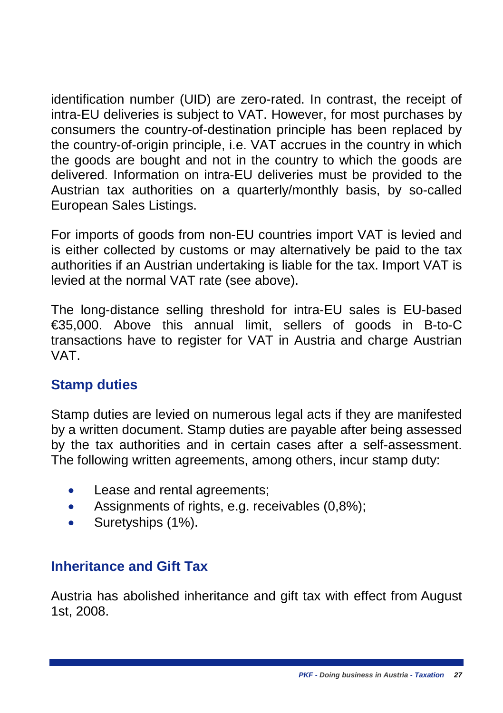identification number (UID) are zero-rated. In contrast, the receipt of intra-EU deliveries is subject to VAT. However, for most purchases by consumers the country-of-destination principle has been replaced by the country-of-origin principle, i.e. VAT accrues in the country in which the goods are bought and not in the country to which the goods are delivered. Information on intra-EU deliveries must be provided to the Austrian tax authorities on a quarterly/monthly basis, by so-called European Sales Listings.

For imports of goods from non-EU countries import VAT is levied and is either collected by customs or may alternatively be paid to the tax authorities if an Austrian undertaking is liable for the tax. Import VAT is levied at the normal VAT rate (see above).

The long-distance selling threshold for intra-EU sales is EU-based €35,000. Above this annual limit, sellers of goods in B-to-C transactions have to register for VAT in Austria and charge Austrian VAT.

#### <span id="page-32-0"></span>**Stamp duties**

Stamp duties are levied on numerous legal acts if they are manifested by a written document. Stamp duties are payable after being assessed by the tax authorities and in certain cases after a self-assessment. The following written agreements, among others, incur stamp duty:

- Lease and rental agreements;
- Assignments of rights, e.g. receivables (0,8%);
- Suretyships (1%).

#### <span id="page-32-1"></span>**Inheritance and Gift Tax**

Austria has abolished inheritance and gift tax with effect from August 1st, 2008.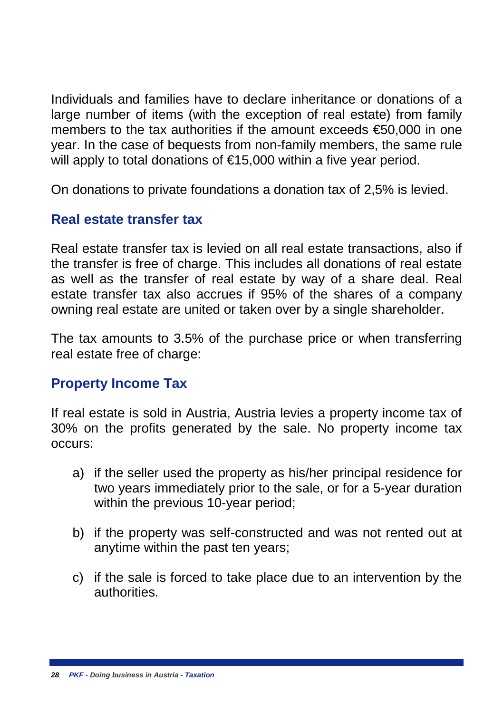Individuals and families have to declare inheritance or donations of a large number of items (with the exception of real estate) from family members to the tax authorities if the amount exceeds €50,000 in one year. In the case of bequests from non-family members, the same rule will apply to total donations of €15,000 within a five year period.

On donations to private foundations a donation tax of 2,5% is levied.

#### <span id="page-33-0"></span>**Real estate transfer tax**

Real estate transfer tax is levied on all real estate transactions, also if the transfer is free of charge. This includes all donations of real estate as well as the transfer of real estate by way of a share deal. Real estate transfer tax also accrues if 95% of the shares of a company owning real estate are united or taken over by a single shareholder.

The tax amounts to 3.5% of the purchase price or when transferring real estate free of charge:

#### **Property Income Tax**

If real estate is sold in Austria, Austria levies a property income tax of 30% on the profits generated by the sale. No property income tax occurs:

- a) if the seller used the property as his/her principal residence for two years immediately prior to the sale, or for a 5-year duration within the previous 10-year period:
- b) if the property was self-constructed and was not rented out at anytime within the past ten years;
- c) if the sale is forced to take place due to an intervention by the authorities.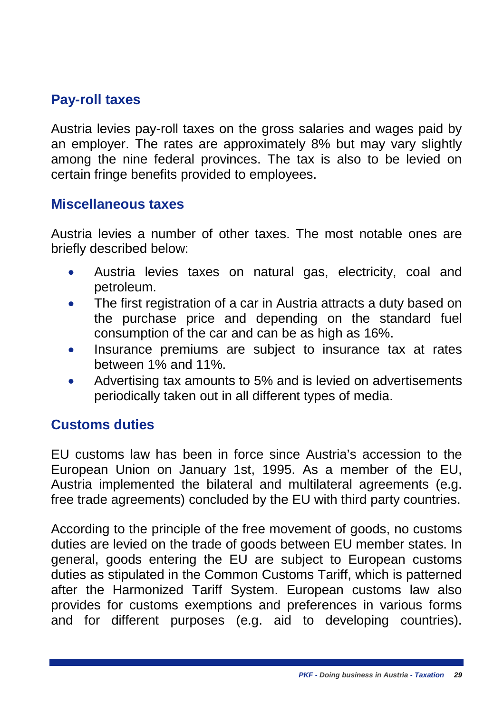#### <span id="page-34-0"></span>**Pay-roll taxes**

Austria levies pay-roll taxes on the gross salaries and wages paid by an employer. The rates are approximately 8% but may vary slightly among the nine federal provinces. The tax is also to be levied on certain fringe benefits provided to employees.

#### <span id="page-34-1"></span>**Miscellaneous taxes**

Austria levies a number of other taxes. The most notable ones are briefly described below:

- Austria levies taxes on natural gas, electricity, coal and petroleum.
- The first registration of a car in Austria attracts a duty based on the purchase price and depending on the standard fuel consumption of the car and can be as high as 16%.
- Insurance premiums are subject to insurance tax at rates between 1% and 11%.
- Advertising tax amounts to 5% and is levied on advertisements periodically taken out in all different types of media.

#### <span id="page-34-2"></span>**Customs duties**

EU customs law has been in force since Austria's accession to the European Union on January 1st, 1995. As a member of the EU, Austria implemented the bilateral and multilateral agreements (e.g. free trade agreements) concluded by the EU with third party countries.

According to the principle of the free movement of goods, no customs duties are levied on the trade of goods between EU member states. In general, goods entering the EU are subject to European customs duties as stipulated in the Common Customs Tariff, which is patterned after the Harmonized Tariff System. European customs law also provides for customs exemptions and preferences in various forms and for different purposes (e.g. aid to developing countries).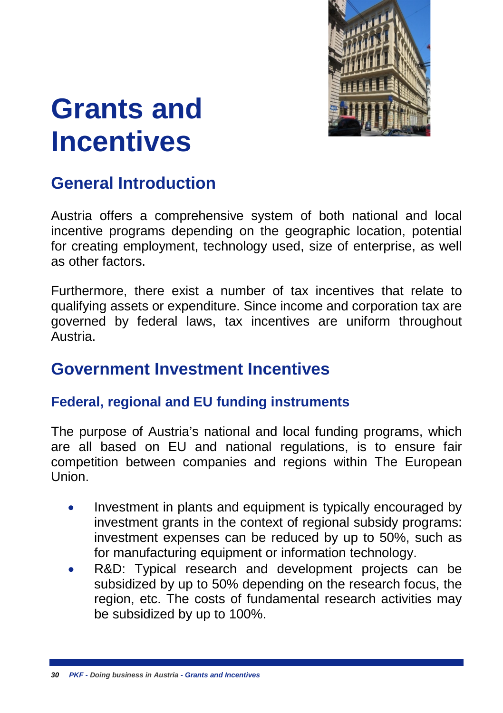

## <span id="page-35-0"></span>**Grants and Incentives**

## <span id="page-35-1"></span>**General Introduction**

Austria offers a comprehensive system of both national and local incentive programs depending on the geographic location, potential for creating employment, technology used, size of enterprise, as well as other factors.

Furthermore, there exist a number of tax incentives that relate to qualifying assets or expenditure. Since income and corporation tax are governed by federal laws, tax incentives are uniform throughout Austria.

#### <span id="page-35-2"></span>**Government Investment Incentives**

#### <span id="page-35-3"></span>**Federal, regional and EU funding instruments**

The purpose of Austria's national and local funding programs, which are all based on EU and national regulations, is to ensure fair competition between companies and regions within The European Union.

- Investment in plants and equipment is typically encouraged by investment grants in the context of regional subsidy programs: investment expenses can be reduced by up to 50%, such as for manufacturing equipment or information technology.
- R&D: Typical research and development projects can be subsidized by up to 50% depending on the research focus, the region, etc. The costs of fundamental research activities may be subsidized by up to 100%.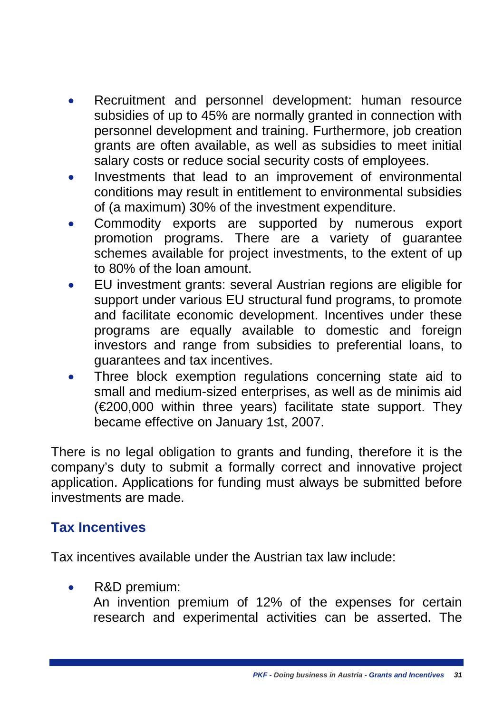- Recruitment and personnel development: human resource subsidies of up to 45% are normally granted in connection with personnel development and training. Furthermore, job creation grants are often available, as well as subsidies to meet initial salary costs or reduce social security costs of employees.
- Investments that lead to an improvement of environmental conditions may result in entitlement to environmental subsidies of (a maximum) 30% of the investment expenditure.
- Commodity exports are supported by numerous export promotion programs. There are a variety of guarantee schemes available for project investments, to the extent of up to 80% of the loan amount.
- EU investment grants: several Austrian regions are eligible for support under various EU structural fund programs, to promote and facilitate economic development. Incentives under these programs are equally available to domestic and foreign investors and range from subsidies to preferential loans, to guarantees and tax incentives.
- Three block exemption regulations concerning state aid to small and medium-sized enterprises, as well as de minimis aid (€200,000 within three years) facilitate state support. They became effective on January 1st, 2007.

There is no legal obligation to grants and funding, therefore it is the company's duty to submit a formally correct and innovative project application. Applications for funding must always be submitted before investments are made.

#### <span id="page-36-0"></span>**Tax Incentives**

Tax incentives available under the Austrian tax law include:

R&D premium:

An invention premium of 12% of the expenses for certain research and experimental activities can be asserted. The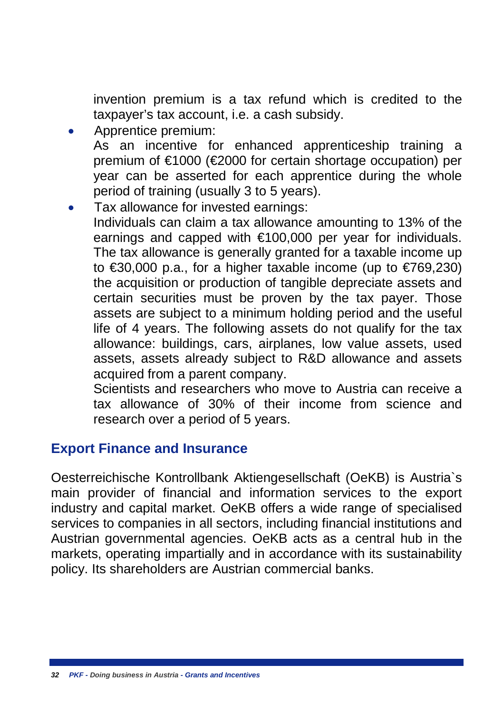invention premium is a tax refund which is credited to the taxpayer's tax account, i.e. a cash subsidy.

- Apprentice premium: As an incentive for enhanced apprenticeship training a premium of €1000 (€2000 for certain shortage occupation) per year can be asserted for each apprentice during the whole period of training (usually 3 to 5 years).
- Tax allowance for invested earnings: Individuals can claim a tax allowance amounting to 13% of the earnings and capped with €100,000 per year for individuals. The tax allowance is generally granted for a taxable income up to €30,000 p.a., for a higher taxable income (up to €769,230) the acquisition or production of tangible depreciate assets and certain securities must be proven by the tax payer. Those assets are subject to a minimum holding period and the useful life of 4 years. The following assets do not qualify for the tax allowance: buildings, cars, airplanes, low value assets, used assets, assets already subject to R&D allowance and assets acquired from a parent company.

Scientists and researchers who move to Austria can receive a tax allowance of 30% of their income from science and research over a period of 5 years.

#### <span id="page-37-0"></span>**Export Finance and Insurance**

Oesterreichische Kontrollbank Aktiengesellschaft (OeKB) is Austria`s main provider of financial and information services to the export industry and capital market. OeKB offers a wide range of specialised services to companies in all sectors, including financial institutions and Austrian governmental agencies. OeKB acts as a central hub in the markets, operating impartially and in accordance with its sustainability policy. Its shareholders are Austrian commercial banks.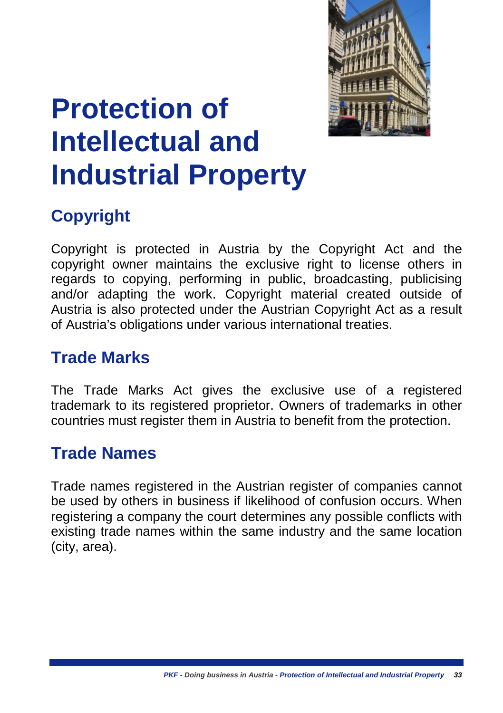

## <span id="page-38-0"></span>**Protection of Intellectual and Industrial Property**

## <span id="page-38-1"></span>**Copyright**

Copyright is protected in Austria by the Copyright Act and the copyright owner maintains the exclusive right to license others in regards to copying, performing in public, broadcasting, publicising and/or adapting the work. Copyright material created outside of Austria is also protected under the Austrian Copyright Act as a result of Austria's obligations under various international treaties.

### <span id="page-38-2"></span>**Trade Marks**

The Trade Marks Act gives the exclusive use of a registered trademark to its registered proprietor. Owners of trademarks in other countries must register them in Austria to benefit from the protection.

### <span id="page-38-3"></span>**Trade Names**

Trade names registered in the Austrian register of companies cannot be used by others in business if likelihood of confusion occurs. When registering a company the court determines any possible conflicts with existing trade names within the same industry and the same location (city, area).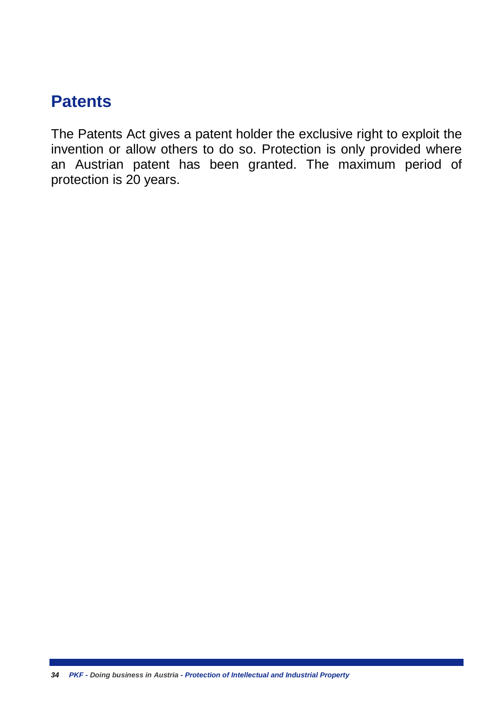## <span id="page-39-0"></span>**Patents**

The Patents Act gives a patent holder the exclusive right to exploit the invention or allow others to do so. Protection is only provided where an Austrian patent has been granted. The maximum period of protection is 20 years.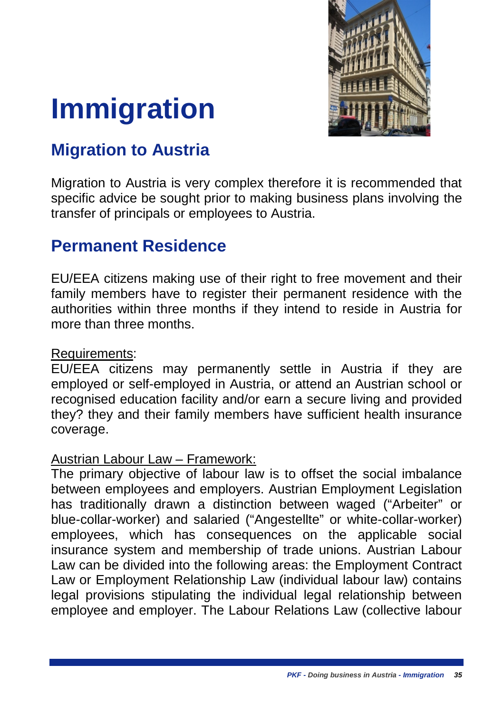

# <span id="page-40-0"></span>**Immigration**

## <span id="page-40-1"></span>**Migration to Austria**

Migration to Austria is very complex therefore it is recommended that specific advice be sought prior to making business plans involving the transfer of principals or employees to Austria.

#### <span id="page-40-2"></span>**Permanent Residence**

EU/EEA citizens making use of their right to free movement and their family members have to register their permanent residence with the authorities within three months if they intend to reside in Austria for more than three months.

#### Requirements:

EU/EEA citizens may permanently settle in Austria if they are employed or self-employed in Austria, or attend an Austrian school or recognised education facility and/or earn a secure living and provided they? they and their family members have sufficient health insurance coverage.

#### Austrian Labour Law – Framework:

The primary objective of labour law is to offset the social imbalance between employees and employers. Austrian Employment Legislation has traditionally drawn a distinction between waged ("Arbeiter" or blue-collar-worker) and salaried ("Angestellte" or white-collar-worker) employees, which has consequences on the applicable social insurance system and membership of trade unions. Austrian Labour Law can be divided into the following areas: the Employment Contract Law or Employment Relationship Law (individual labour law) contains legal provisions stipulating the individual legal relationship between employee and employer. The Labour Relations Law (collective labour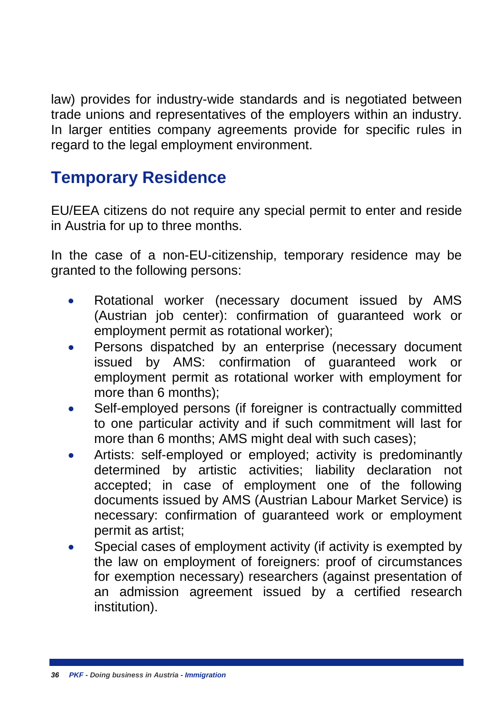law) provides for industry-wide standards and is negotiated between trade unions and representatives of the employers within an industry. In larger entities company agreements provide for specific rules in regard to the legal employment environment.

## <span id="page-41-0"></span>**Temporary Residence**

EU/EEA citizens do not require any special permit to enter and reside in Austria for up to three months.

In the case of a non-EU-citizenship, temporary residence may be granted to the following persons:

- Rotational worker (necessary document issued by AMS (Austrian job center): confirmation of guaranteed work or employment permit as rotational worker);
- Persons dispatched by an enterprise (necessary document issued by AMS: confirmation of guaranteed work or employment permit as rotational worker with employment for more than 6 months);
- Self-employed persons (if foreigner is contractually committed to one particular activity and if such commitment will last for more than 6 months; AMS might deal with such cases);
- Artists: self-employed or employed; activity is predominantly determined by artistic activities; liability declaration not accepted; in case of employment one of the following documents issued by AMS (Austrian Labour Market Service) is necessary: confirmation of guaranteed work or employment permit as artist;
- Special cases of employment activity (if activity is exempted by the law on employment of foreigners: proof of circumstances for exemption necessary) researchers (against presentation of an admission agreement issued by a certified research institution).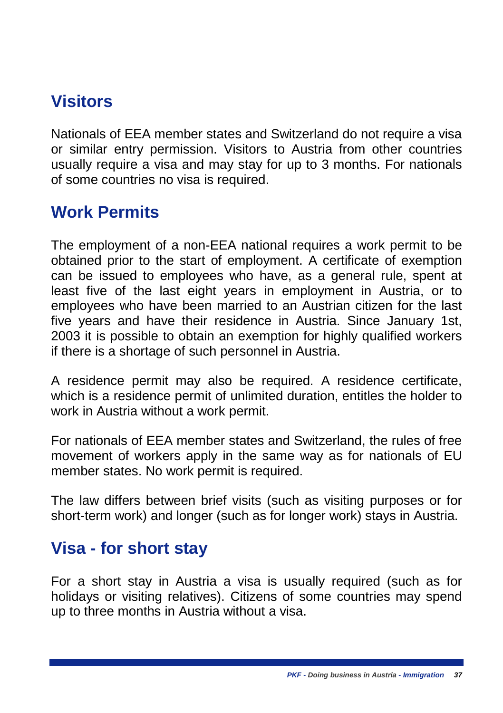## <span id="page-42-0"></span>**Visitors**

Nationals of EEA member states and Switzerland do not require a visa or similar entry permission. Visitors to Austria from other countries usually require a visa and may stay for up to 3 months. For nationals of some countries no visa is required.

### <span id="page-42-1"></span>**Work Permits**

The employment of a non-EEA national requires a work permit to be obtained prior to the start of employment. A certificate of exemption can be issued to employees who have, as a general rule, spent at least five of the last eight years in employment in Austria, or to employees who have been married to an Austrian citizen for the last five years and have their residence in Austria. Since January 1st, 2003 it is possible to obtain an exemption for highly qualified workers if there is a shortage of such personnel in Austria.

A residence permit may also be required. A residence certificate, which is a residence permit of unlimited duration, entitles the holder to work in Austria without a work permit.

For nationals of EEA member states and Switzerland, the rules of free movement of workers apply in the same way as for nationals of EU member states. No work permit is required.

The law differs between brief visits (such as visiting purposes or for short-term work) and longer (such as for longer work) stays in Austria.

#### <span id="page-42-2"></span>**Visa - for short stay**

For a short stay in Austria a visa is usually required (such as for holidays or visiting relatives). Citizens of some countries may spend up to three months in Austria without a visa.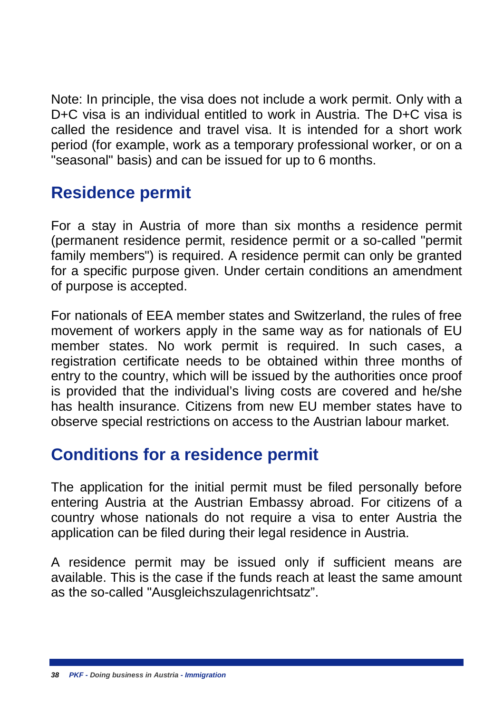Note: In principle, the visa does not include a work permit. Only with a D+C visa is an individual entitled to work in Austria. The D+C visa is called the residence and travel visa. It is intended for a short work period (for example, work as a temporary professional worker, or on a "seasonal" basis) and can be issued for up to 6 months.

## <span id="page-43-0"></span>**Residence permit**

For a stay in Austria of more than six months a residence permit (permanent residence permit, residence permit or a so-called "permit family members") is required. A residence permit can only be granted for a specific purpose given. Under certain conditions an amendment of purpose is accepted.

For nationals of EEA member states and Switzerland, the rules of free movement of workers apply in the same way as for nationals of EU member states. No work permit is required. In such cases, a registration certificate needs to be obtained within three months of entry to the country, which will be issued by the authorities once proof is provided that the individual's living costs are covered and he/she has health insurance. Citizens from new EU member states have to observe special restrictions on access to the Austrian labour market.

#### <span id="page-43-1"></span>**Conditions for a residence permit**

The application for the initial permit must be filed personally before entering Austria at the Austrian Embassy abroad. For citizens of a country whose nationals do not require a visa to enter Austria the application can be filed during their legal residence in Austria.

A residence permit may be issued only if sufficient means are available. This is the case if the funds reach at least the same amount as the so-called "Ausgleichszulagenrichtsatz".